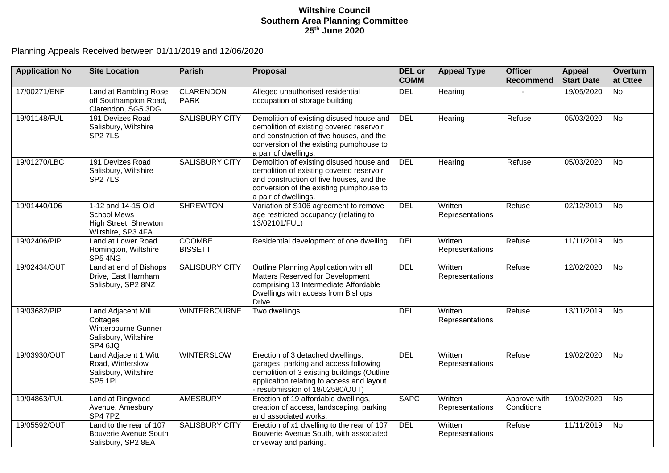## **Wiltshire Council Southern Area Planning Committee 25th June 2020**

Planning Appeals Received between 01/11/2019 and 12/06/2020

| <b>Application No</b> | <b>Site Location</b>                                                                     | <b>Parish</b>                   | Proposal                                                                                                                                                                                                  | DEL or<br><b>COMM</b>                    | <b>Appeal Type</b>         | <b>Officer</b><br><b>Recommend</b> | <b>Appeal</b><br><b>Start Date</b> | Overturn<br>at Cttee |
|-----------------------|------------------------------------------------------------------------------------------|---------------------------------|-----------------------------------------------------------------------------------------------------------------------------------------------------------------------------------------------------------|------------------------------------------|----------------------------|------------------------------------|------------------------------------|----------------------|
| 17/00271/ENF          | Land at Rambling Rose,<br>off Southampton Road,<br>Clarendon, SG5 3DG                    | <b>CLARENDON</b><br><b>PARK</b> | Alleged unauthorised residential<br>occupation of storage building                                                                                                                                        | <b>DEL</b>                               | Hearing                    |                                    | 19/05/2020                         | $\overline{N}$       |
| 19/01148/FUL          | 191 Devizes Road<br>Salisbury, Wiltshire<br>SP <sub>2</sub> 7LS                          | <b>SALISBURY CITY</b>           | Demolition of existing disused house and<br>demolition of existing covered reservoir<br>and construction of five houses, and the<br>conversion of the existing pumphouse to<br>a pair of dwellings.       | <b>DEL</b>                               | Hearing                    | Refuse                             | 05/03/2020                         | No                   |
| 19/01270/LBC          | 191 Devizes Road<br>Salisbury, Wiltshire<br>SP <sub>2</sub> 7LS                          | <b>SALISBURY CITY</b>           | Demolition of existing disused house and<br>demolition of existing covered reservoir<br>and construction of five houses, and the<br>conversion of the existing pumphouse to<br>a pair of dwellings.       | <b>DEL</b>                               | Hearing                    | Refuse                             | 05/03/2020                         | <b>No</b>            |
| 19/01440/106          | 1-12 and 14-15 Old<br>School Mews<br>High Street, Shrewton<br>Wiltshire, SP3 4FA         | <b>SHREWTON</b>                 | Variation of S106 agreement to remove<br>age restricted occupancy (relating to<br>13/02101/FUL)                                                                                                           | <b>DEL</b><br>Written<br>Representations |                            | Refuse                             | 02/12/2019                         | <b>No</b>            |
| 19/02406/PIP          | Land at Lower Road<br>Homington, Wiltshire<br>SP5 4NG                                    | <b>COOMBE</b><br><b>BISSETT</b> | Residential development of one dwelling                                                                                                                                                                   | <b>DEL</b>                               | Written<br>Representations | Refuse                             | 11/11/2019                         | No                   |
| 19/02434/OUT          | Land at end of Bishops<br>Drive, East Harnham<br>Salisbury, SP2 8NZ                      | <b>SALISBURY CITY</b>           | Outline Planning Application with all<br>Matters Reserved for Development<br>comprising 13 Intermediate Affordable<br>Dwellings with access from Bishops<br>Drive.                                        | <b>DEL</b>                               | Written<br>Representations | Refuse                             | 12/02/2020                         | <b>No</b>            |
| 19/03682/PIP          | Land Adjacent Mill<br>Cottages<br>Winterbourne Gunner<br>Salisbury, Wiltshire<br>SP4 6JQ | <b>WINTERBOURNE</b>             | Two dwellings                                                                                                                                                                                             | <b>DEL</b>                               | Written<br>Representations |                                    | 13/11/2019                         | <b>No</b>            |
| 19/03930/OUT          | Land Adjacent 1 Witt<br>Road, Winterslow<br>Salisbury, Wiltshire<br>SP5 1PL              | <b>WINTERSLOW</b>               | Erection of 3 detached dwellings,<br>garages, parking and access following<br>demolition of 3 existing buildings (Outline<br>application relating to access and layout<br>- resubmission of 18/02580/OUT) | <b>DEL</b>                               | Written<br>Representations | Refuse                             | 19/02/2020                         | $\overline{N}$       |
| 19/04863/FUL          | Land at Ringwood<br>Avenue, Amesbury<br>SP4 7PZ                                          | <b>AMESBURY</b>                 | Erection of 19 affordable dwellings,<br>creation of access, landscaping, parking<br>and associated works.                                                                                                 | <b>SAPC</b>                              | Written<br>Representations | Approve with<br>Conditions         | 19/02/2020                         | <b>No</b>            |
| 19/05592/OUT          | Land to the rear of 107<br>Bouverie Avenue South<br>Salisbury, SP2 8EA                   | <b>SALISBURY CITY</b>           | Erection of x1 dwelling to the rear of 107<br>Bouverie Avenue South, with associated<br>driveway and parking.                                                                                             | <b>DEL</b>                               | Written<br>Representations | Refuse                             | 11/11/2019                         | <b>No</b>            |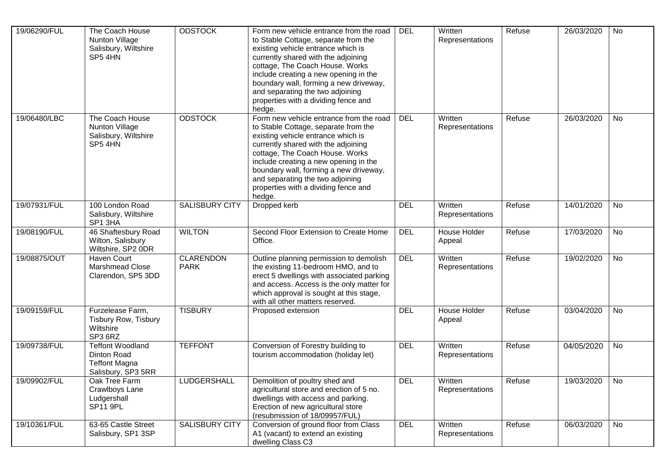| 19/06290/FUL | The Coach House<br>Nunton Village<br>Salisbury, Wiltshire<br>SP5 4HN                 | <b>ODSTOCK</b>                  | Form new vehicle entrance from the road<br>to Stable Cottage, separate from the<br>existing vehicle entrance which is<br>currently shared with the adjoining<br>cottage, The Coach House. Works<br>include creating a new opening in the<br>boundary wall, forming a new driveway,<br>and separating the two adjoining<br>properties with a dividing fence and<br>hedge. | <b>DEL</b> | Written<br>Representations | Refuse | 26/03/2020 | No |
|--------------|--------------------------------------------------------------------------------------|---------------------------------|--------------------------------------------------------------------------------------------------------------------------------------------------------------------------------------------------------------------------------------------------------------------------------------------------------------------------------------------------------------------------|------------|----------------------------|--------|------------|----|
| 19/06480/LBC | The Coach House<br>Nunton Village<br>Salisbury, Wiltshire<br>SP5 4HN                 | <b>ODSTOCK</b>                  | Form new vehicle entrance from the road<br>to Stable Cottage, separate from the<br>existing vehicle entrance which is<br>currently shared with the adjoining<br>cottage, The Coach House. Works<br>include creating a new opening in the<br>boundary wall, forming a new driveway,<br>and separating the two adjoining<br>properties with a dividing fence and<br>hedge. | <b>DEL</b> | Written<br>Representations | Refuse | 26/03/2020 | No |
| 19/07931/FUL | 100 London Road<br>Salisbury, Wiltshire<br>SP1 3HA                                   | <b>SALISBURY CITY</b>           | Dropped kerb                                                                                                                                                                                                                                                                                                                                                             | <b>DEL</b> | Written<br>Representations | Refuse | 14/01/2020 | No |
| 19/08190/FUL | 46 Shaftesbury Road<br>Wilton, Salisbury<br>Wiltshire, SP2 0DR                       | <b>WILTON</b>                   | Second Floor Extension to Create Home<br>Office.                                                                                                                                                                                                                                                                                                                         | <b>DEL</b> | House Holder<br>Appeal     | Refuse | 17/03/2020 | No |
| 19/08875/OUT | <b>Haven Court</b><br>Marshmead Close<br>Clarendon, SP5 3DD                          | <b>CLARENDON</b><br><b>PARK</b> | Outline planning permission to demolish<br>the existing 11-bedroom HMO, and to<br>erect 5 dwellings with associated parking<br>and access. Access is the only matter for<br>which approval is sought at this stage,<br>with all other matters reserved.                                                                                                                  | <b>DEL</b> | Written<br>Representations | Refuse | 19/02/2020 | No |
| 19/09159/FUL | Furzelease Farm,<br><b>Tisbury Row, Tisbury</b><br>Wiltshire<br>SP3 6RZ              | <b>TISBURY</b>                  | Proposed extension                                                                                                                                                                                                                                                                                                                                                       | <b>DEL</b> | House Holder<br>Appeal     | Refuse | 03/04/2020 | No |
| 19/09738/FUL | <b>Teffont Woodland</b><br>Dinton Road<br><b>Teffont Magna</b><br>Salisbury, SP3 5RR | <b>TEFFONT</b>                  | Conversion of Forestry building to<br>tourism accommodation (holiday let)                                                                                                                                                                                                                                                                                                | <b>DEL</b> | Written<br>Representations | Refuse | 04/05/2020 | No |
| 19/09902/FUL | Oak Tree Farm<br>Crawlboys Lane<br>Ludgershall<br>SP11 9PL                           | <b>LUDGERSHALL</b>              | Demolition of poultry shed and<br>agricultural store and erection of 5 no.<br>dwellings with access and parking.<br>Erection of new agricultural store<br>(resubmission of 18/09957/FUL)                                                                                                                                                                                 | <b>DEL</b> | Written<br>Representations | Refuse | 19/03/2020 | No |
| 19/10361/FUL | 63-65 Castle Street<br>Salisbury, SP1 3SP                                            | SALISBURY CITY                  | Conversion of ground floor from Class<br>A1 (vacant) to extend an existing<br>dwelling Class C3                                                                                                                                                                                                                                                                          | <b>DEL</b> | Written<br>Representations | Refuse | 06/03/2020 | No |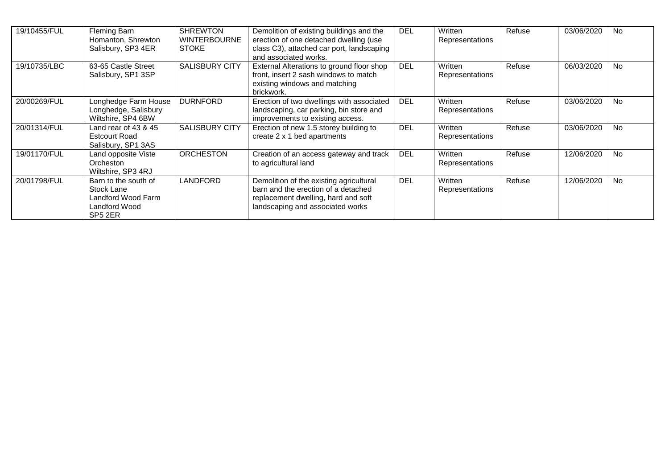| 19/10455/FUL | Fleming Barn<br>Homanton, Shrewton<br>Salisbury, SP3 4ER                             | <b>SHREWTON</b><br><b>WINTERBOURNE</b><br><b>STOKE</b> | Demolition of existing buildings and the<br>erection of one detached dwelling (use<br>class C3), attached car port, landscaping<br>and associated works.  | <b>DEL</b> | Written<br>Representations | Refuse | 03/06/2020 | No.       |
|--------------|--------------------------------------------------------------------------------------|--------------------------------------------------------|-----------------------------------------------------------------------------------------------------------------------------------------------------------|------------|----------------------------|--------|------------|-----------|
| 19/10735/LBC | 63-65 Castle Street<br>Salisbury, SP1 3SP                                            | <b>SALISBURY CITY</b>                                  | External Alterations to ground floor shop<br>front, insert 2 sash windows to match<br>existing windows and matching<br>brickwork.                         | <b>DEL</b> | Written<br>Representations | Refuse | 06/03/2020 | <b>No</b> |
| 20/00269/FUL | Longhedge Farm House<br>Longhedge, Salisbury<br>Wiltshire, SP4 6BW                   | <b>DURNFORD</b>                                        | Erection of two dwellings with associated<br>landscaping, car parking, bin store and<br>improvements to existing access.                                  | <b>DEL</b> | Written<br>Representations | Refuse | 03/06/2020 | <b>No</b> |
| 20/01314/FUL | Land rear of $43 & 45$<br><b>Estcourt Road</b><br>Salisbury, SP1 3AS                 | <b>SALISBURY CITY</b>                                  | Erection of new 1.5 storey building to<br>create 2 x 1 bed apartments                                                                                     | <b>DEL</b> | Written<br>Representations | Refuse | 03/06/2020 | <b>No</b> |
| 19/01170/FUL | Land opposite Viste<br>Orcheston<br>Wiltshire, SP3 4RJ                               | <b>ORCHESTON</b>                                       | Creation of an access gateway and track<br>to agricultural land                                                                                           | <b>DEL</b> | Written<br>Representations | Refuse | 12/06/2020 | <b>No</b> |
| 20/01798/FUL | Barn to the south of<br>Stock Lane<br>Landford Wood Farm<br>Landford Wood<br>SP5 2ER | <b>LANDFORD</b>                                        | Demolition of the existing agricultural<br>barn and the erection of a detached<br>replacement dwelling, hard and soft<br>landscaping and associated works | <b>DEL</b> | Written<br>Representations | Refuse | 12/06/2020 | <b>No</b> |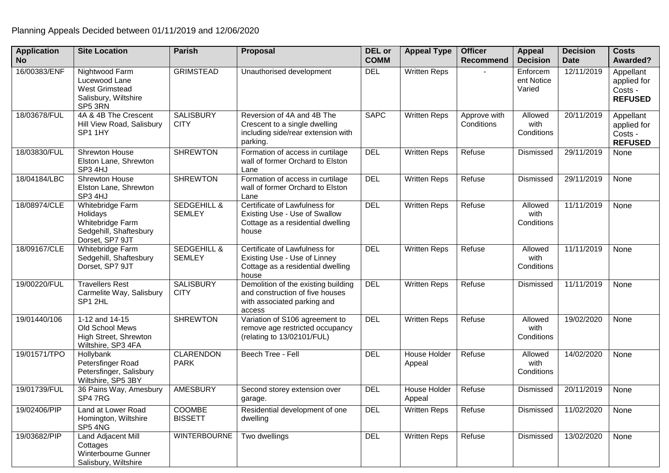| <b>Application</b><br><b>No</b> | <b>Site Location</b>                                                                          | <b>Parish</b>                           | Proposal                                                                                                        | <b>DEL</b> or<br><b>COMM</b> | <b>Appeal Type</b>            | <b>Officer</b><br>Recommend | <b>Appeal</b><br><b>Decision</b> | <b>Decision</b><br><b>Date</b> | <b>Costs</b><br>Awarded?                              |
|---------------------------------|-----------------------------------------------------------------------------------------------|-----------------------------------------|-----------------------------------------------------------------------------------------------------------------|------------------------------|-------------------------------|-----------------------------|----------------------------------|--------------------------------|-------------------------------------------------------|
| 16/00383/ENF                    | Nightwood Farm<br>Lucewood Lane<br><b>West Grimstead</b><br>Salisbury, Wiltshire<br>SP5 3RN   | <b>GRIMSTEAD</b>                        | Unauthorised development                                                                                        | <b>DEL</b>                   | Written Reps                  |                             | Enforcem<br>ent Notice<br>Varied | 12/11/2019                     | Appellant<br>applied for<br>Costs -<br><b>REFUSED</b> |
| 18/03678/FUL                    | 4A & 4B The Crescent<br>Hill View Road, Salisbury<br>SP1 1HY                                  | <b>SALISBURY</b><br><b>CITY</b>         | Reversion of 4A and 4B The<br>Crescent to a single dwelling<br>including side/rear extension with<br>parking.   | <b>SAPC</b>                  | <b>Written Reps</b>           | Approve with<br>Conditions  | Allowed<br>with<br>Conditions    | 20/11/2019                     | Appellant<br>applied for<br>Costs -<br><b>REFUSED</b> |
| 18/03830/FUL                    | Shrewton House<br>Elston Lane, Shrewton<br>SP3 4HJ                                            | <b>SHREWTON</b>                         | Formation of access in curtilage<br>wall of former Orchard to Elston<br>Lane                                    | <b>DEL</b>                   | <b>Written Reps</b>           | Refuse                      | Dismissed                        | 29/11/2019                     | None                                                  |
| 18/04184/LBC                    | <b>Shrewton House</b><br>Elston Lane, Shrewton<br>SP3 4HJ                                     | <b>SHREWTON</b>                         | Formation of access in curtilage<br>wall of former Orchard to Elston<br>Lane                                    | <b>DEL</b>                   | <b>Written Reps</b>           | Refuse                      | Dismissed                        | 29/11/2019                     | None                                                  |
| 18/08974/CLE                    | Whitebridge Farm<br>Holidays<br>Whitebridge Farm<br>Sedgehill, Shaftesbury<br>Dorset, SP7 9JT | <b>SEDGEHILL &amp;</b><br><b>SEMLEY</b> | Certificate of Lawfulness for<br>Existing Use - Use of Swallow<br>Cottage as a residential dwelling<br>house    | <b>DEL</b>                   | <b>Written Reps</b>           | Refuse                      | Allowed<br>with<br>Conditions    | 11/11/2019                     | None                                                  |
| 18/09167/CLE                    | Whitebridge Farm<br>Sedgehill, Shaftesbury<br>Dorset, SP7 9JT                                 | <b>SEDGEHILL &amp;</b><br><b>SEMLEY</b> | Certificate of Lawfulness for<br>Existing Use - Use of Linney<br>Cottage as a residential dwelling<br>house     | <b>DEL</b>                   | <b>Written Reps</b>           | Refuse                      | Allowed<br>with<br>Conditions    | 11/11/2019                     | None                                                  |
| 19/00220/FUL                    | <b>Travellers Rest</b><br>Carmelite Way, Salisbury<br>SP1 2HL                                 | <b>SALISBURY</b><br><b>CITY</b>         | Demolition of the existing building<br>and construction of five houses<br>with associated parking and<br>access | <b>DEL</b>                   | <b>Written Reps</b>           | Refuse                      | Dismissed                        | 11/11/2019                     | None                                                  |
| 19/01440/106                    | 1-12 and 14-15<br>Old School Mews<br>High Street, Shrewton<br>Wiltshire, SP3 4FA              | <b>SHREWTON</b>                         | Variation of S106 agreement to<br>remove age restricted occupancy<br>(relating to 13/02101/FUL)                 | <b>DEL</b>                   | <b>Written Reps</b>           | Refuse                      | Allowed<br>with<br>Conditions    | 19/02/2020                     | None                                                  |
| 19/01571/TPO                    | Hollybank<br>Petersfinger Road<br>Petersfinger, Salisbury<br>Wiltshire, SP5 3BY               | <b>CLARENDON</b><br><b>PARK</b>         | Beech Tree - Fell                                                                                               | <b>DEL</b>                   | House Holder<br>Appeal        | Refuse                      | Allowed<br>with<br>Conditions    | 14/02/2020                     | None                                                  |
| 19/01739/FUL                    | 36 Pains Way, Amesbury<br>SP47RG                                                              | <b>AMESBURY</b>                         | Second storey extension over<br>garage.                                                                         | <b>DEL</b>                   | <b>House Holder</b><br>Appeal | Refuse                      | Dismissed                        | 20/11/2019                     | None                                                  |
| 19/02406/PIP                    | Land at Lower Road<br>Homington, Wiltshire<br>SP5 4NG                                         | COOMBE<br><b>BISSETT</b>                | Residential development of one<br>dwelling                                                                      | <b>DEL</b>                   | <b>Written Reps</b>           | Refuse                      | Dismissed                        | 11/02/2020                     | None                                                  |
| 19/03682/PIP                    | Land Adjacent Mill<br>Cottages<br>Winterbourne Gunner<br>Salisbury, Wiltshire                 | <b>WINTERBOURNE</b>                     | Two dwellings                                                                                                   | <b>DEL</b>                   | <b>Written Reps</b>           | Refuse                      | Dismissed                        | 13/02/2020                     | None                                                  |